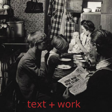text + work

**TELL CATTER** 

 $\overline{\overline{\omega}}$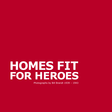# **HOMES FIT FOR HEROES**

Photographs by Bill Brandt 1939 – 1943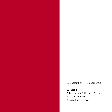12 September – 7 October 2005

Curated by Peter James & Richard Sadler in association with Birmingham Libraries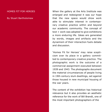#### HOMES FIT FOR HEROES

By Stuart Bartholomew

When the gallery at the Arts Institute was enlarged and redesigned it was our hope that the new space would show work able to stimulate interest in contemporary creative practice within and beyond our academic community. The concept of text + work was adopted to give exhibitions a more enduring life. Ideas are generated by words, images and artifacts and the dynamism of their interaction fuels debate and discussion.

'Homes Fit for Heroes' may raise scepticism over its place in a gallery committed to contemporary creative practice. The photographic work is the outcome of a commercial assignment executed between 1939 and 1943. The photographs document the material circumstances of people living in 19th century slum dwellings, set against those housed in new municipal housing of the war years.

The content of the exhibition has historical relevance but it also provides an aesthetic reference for the work of Bill Brandt, one of the most important photographers of the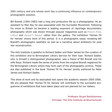20th century and one whose work has a continuing influence on contemporary photographic practice.

Bill Brandt (1904-1983) had a long and productive life as a photographer. As an assistant to Man Ray he was associated with the Surrealist Movement. Following his move to Britain he became a leading exponent of reportage documentary photography which was shown through popular magazines such as Picture Post, Lilliput and Harper's Bazaar rather than the gallery. The exhibition 'Homes Fit for Heroes' shows work of this period. It is a photographic essay revealing Bill Brandt's photographic aesthetic as well as a narrative about ambitions for post war reconstruction.

The Arts Institute is grateful to Richard Sadler and Peter James for the curation of this exhibition and to Birmingham Library Service for their loan. Richard Sadler, who is himself a distinguished photographer, was a friend of Bill Brandt and his wife Noya. Richard made the series of prints from the original Brandt negatives for the Birmingham Library where they form part of the photographic archive. These are also published in the book 'Homes Fit for Heroes' jointly authored by Peter James and Richard Sadler.

This show of work and its associated text opens the academic session 2005-2006. We are pleased that 'Homes Fit for Heroes' will contribute to the successful programme of exhibitions that have taken place and are planned for our Gallery.

> Professor Stuart Bartholomew Principal, The Arts Institute at Bournemouth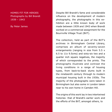HOMES FIT FOR HEROES Photographs by Bill Brandt 1939 – 1943

By Peter James

Despite Bill Brandt's fame and considerable influence on the development of modern photography, the photographs in this exhibition are a little known body of work made between 1939 and 1943 when Brandt worked on a commercial assignment for the Bournville Village Trust (BVT).

The collection, held as part of the BVT's archives in Birmingham Central Library, comprises an album of seventy-seven enlargements (ranging in size from 5.5 x 6.5 to 11x 9.5cms) and sixty-six two and a quarter inch square negatives, the majority of which corresponded to the prints. The photographs illustrate and contrast the living conditions in a range of housing types, from back-to-back slums built in the nineteenth century through to modern municipal housing built in the 1930s. The majority of the photographs were taken in Birmingham but also some in London taken near to his own home in Camden Hill.

The origins of this work lay in two intertwined histories: that of Brandt's earlier work and the efforts of the BVT, amongst others, to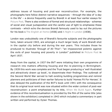address issues of housing and post-war reconstruction. For example, the photographs here follow distinct narrative sequences – through the idea of 'a day in the life' – a device frequently used by Brandt in at least four earlier essays for Picture Post. There is also evidence of formal and structural relationships - schemes of social and visual juxtaposition and the careful use of light to emphasise these contrasts - which echo the devices Brandt famously used to lay out the pictures for his book s The English at Home (1936) and A Night in London (1938).

London was undoubtedly one of Brandt's favourite subjects and the photographs here, taken around 1943, are amongst a much larger body of work Brandt shot in the capital city before and during the war years. This includes those he produced to illustrate 'Enough of All This!': "an impassioned polemic against the evils of poor housing and poverty in London" published in Picture Post in April 1937.

Away from the capital, in 1937 the BVT were initiating their own programme of research into matters affecting housing and the re-planning in Birmingham. By 1939 this work was complete and the Trust began producing a 'well illustrated and attractively drawn up book', to disseminate their findings. The outbreak of the Second World War served to halt existing building programmes and remind planners and politicians of their earlier failures to build 'Homes Fit For Heroes'. It also delayed the publication of the BVT's book until 1941 with the consequence that its original local remit was now situated within the wider context of post-war reconstruction: a point emphasised by its title, When We Build Again. Further evidence of this recontextualisation is provided by the film of the same title (also shown in the exhibition) completed in 1943 which included a commentary in part written and performed by Dylan Thomas.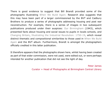There is good evidence to suggest that Bill Brandt provided some of the photographs illustrating When We Build Again. Research also suggests that this may have been part of a larger commissioned by the BVT and Cadbury Brothers to produce a series of photographs addressing housing and post war reconstruction. For example, there is a series of images in two subsequent publications produced under their auspices: Our Birmingham (1943), which presented facts about housing and social issues to pupils in locals schools, and Changing Britain, Illustrating the Industrial Revolution: 1750-19, which reveal distinct thematic and compositional similarities to those used in When We Build Again and the BVT album. Furthermore, Brandt is amongst the photographers officially credited in this latter publication.

It therefore appears that the photographs shown here, whilst having been created as part of that wider commission, were not used, were edited out, or were perhaps intended for another publication that did not see the light of day.

> Peter James Curator + Head of Photographs at Birmingham Central Library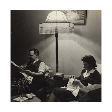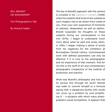#### BILL BRANDT ON ASSIGNMEMT

The Photographer's Tale

By Richard Sadler

The key to Brandt's approach with the camera is unveiled in his Camera in London (1948) where he explains that to be of any substance such imagery has to be drawn from inside of you, from your own experience of moments of sadness, desperation as well as elation. Brandt expanded his thoughts on these subjects during our conversations in the mid 1970s. I began to understand much more about what he said and wrote when, in 1994, I began making a series of prints from his negatives for the exhibition at Birmingham Central Library. Commissioned work with defined parameters can only be effective if it is true to the photographer and his experience of that moment. And for me this is the stuff of art and contemporary photography irrespective of the method of production and practice.

What was Brandt's philosophy and how did he pursue this through his work? Brandt was loath to commit himself to a formula saying that 'a dangerous facility with words can cover up a problem by over-simplifying it' – a situation with which many photographers would sympathise. It appears that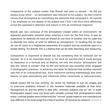irrespective of the subject matter that Brandt had seen or sensed – he did not always know which – 'an atmosphere' was inherent to his subject. He then tried to convey that atmosphere by intensifying the elements that composed it. He records 'I lay emphasis on one aspect of my subject and I find I can thus more effectively arrest the spectator's attention and induce in him an emotional response'.

Brandt was very conscious of the atmosphere created within an environment. He appeared particularly sensitive when entering a room for the first time. It was an experience he believed we have all shared at one time or another and he used this to describe the notion of what he defined as 'atmosphere'. In recalling this he says we can all come to a heightened awareness of a subject and lay ourselves open to a similar feeling. For Brandt, this is a feeling that can be both disturbing and reassuring.

Composition is important to Brandt but not something that he believed can be learned. As it is an important factor in his work he worried that it could become an obsession or a formula and so destroy not only the elusive 'atmosphere' but also the 'sense of wonder' that he felt and believed was essential when engaged in photographic practices. In achieving the latter he believed that another element was that of an unprejudiced eye. Such instinctive working methodology also drew heavily on past associations and influences either consciously or subconsciously.

Brandt always did his own printing. He varied his methods to suit his images and to overcome problems inherent in the sensitive materials available at that time. Management of, and the ability to deal with, contrasty subjects was an "art" in itself. Photographic papers were not those with variable contrast that photographers today enjoy; contrast grades were limited and the "normal" grade made by one manufacturer was different in its tonal range from that of another. Of cameras he stated in Camera in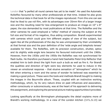London that "a perfect all round camera has yet to be made". He used the Automatic Rolleiflex favoured by many other professionals at that time. Indeed he also gives the technical data in that book for all the images reproduced. From this one can see that he liked to use roll film, with its advantages over 35mm film of a larger image size and the resulting need for less enlargement to produce an image on  $10'' \times 8''$ paper, the size demanded by most publications at that time. The Rolleiflex and the other cameras he used employed a 'reflex' method of viewing the subject at the full size and format of his negative, thus aiding composition. Brandt experimented with cameras which could give him different angles of view of the subject, but again like all the professionals of the day he was unimpressed by their unreliability at that format size and the poor definition of the 'wide angle and telephoto lenses' available for them. The Rolleiflex, with its precision construction, shutter, optics and its slightly wide-angle lens became his favoured instrument until the 1960s. However, from the 1930s until the 1950s the Rollieflex was not synchronised for flash bulbs. He therefore purchased a hand-held Sashalite Pistol Grip Reflector that enabled him to both direct the light from such a bulb as well as fire it. For Brandt the qualities and direction of light were key elements he used to induce in the viewer an emotional response – that elusive sensation of "atmosphere" which he felt when entering a room and the sense of wonder he believed was essential to making a good picture. These were the tools and methods Brandt bought to making the images in the Bournville album. These, coupled with an instinctive working methodology, which, by its very nature drew on past influences and association, either consciously or subconsciously, was at the heart of his approach to delivering this assignment, and exploring the personal picture making opportunities it provided.

Looking specifically at the Birmingham photographs the detail explains more of Brandt's working methodology. In a view of the London kitchen (3.F.L.S.13) we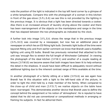note the position of the light is indicated in the top left hand corner by a glimpse of a white lampshade. Compare this with the photograph of a woman in this kitchen in front of the gas-stove (3.F.L.S.6) we see this is not provided by the lighting in the previous image. It is obvious that a light has been directed towards a cooker. Also there is an increased amount of laundry drying above the cooker and there has been rearrangement of the objects on the mantelpiece and range in the time that has elapsed between the two photographs as indicated by the clock.

A further look into image 3.F.L.S.6. shows the range that in the previous image (3.F.L.S13) was covered by a newspaper, but now has an additional piece of newspaper on which lies an ES fitting light bulb. Domestic light bulbs of the time were bayonet fitting only and from earlier comment we know that Brandt used a Kodaflex lighting unit using ES bulbs. Brandt has previously remarked that attached to this unit was 'enough flex to stretch the full length of Winchester Cathedral'. In viewing the photograph of the ideal kitchen (3.F.W.1) and another of a couple reading at leisure (3.F.W10) we become aware that both images have been lit to help enhance the detail in the shadows. It would have been difficult to adequately record without additional lighting due to the inherent contrast range of films available at the time.

In another photograph of a family sitting at a table (3.F.S.6) we see again how Brandt has lit this situation with a light to the left-hand side of the picture, in order to light the child held by a male member of the family. When compared to the close-up of child and man (3.F.S.7) we realise objects on the table have been rearranged. This demonstrates another device that Brandt uses to define the concept behind the assignment or his notion of 'atmosphere'. He is reputed to have stated that he did not use conventional or compositional methods in arranging or framing his subjects. In fact he abhorred them.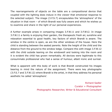The rearrangements of objects on the table are a compositional device that coupled with the lighting does induce in the viewer that emotional response to the selected subject. The image (3.F.S.7) encapsulates the 'atmosphere' of the situation in that room – of which Brandt was fully aware and which he wishes us to examine and share in the light of our personal experiences.

A further example arises in comparing images 3.F.W.11 and 3.F.W12. In image 3.F.W.11 a family is enjoying their garden, the therapeutic fresh air, sunshine and relaxation essential to good health, key factors of which Brandt is aware. The window in the centre is open, as are the other windows of the house. Here the child is standing between the seated parents. Note the height of the child and the distance from the ground to the window ledge. Compare this with image 3.F.W.12 with the child outside leaning on the windowsill and looking into the room and it is evident the child has grown remarkably. All devices were legitimate to this consummate professional who had a sense of humour, albeit ironic and surreal.

What is apparent with this body of work is that Brandt constructed his images bearing in mind the nature of the assignment. There were key photographs (3.F.S.7 and 3.F.W.12) where Brandt is the artist, in that they address his personal aesthetic he called 'atmosphere'.

> Richard Sadler Curator + Photographer Photographic Researcher, Writer & Educational Consultant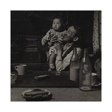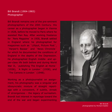#### Bill Brandt (1904-1983) Photographer

Bill Brandt remains one of the pre-eminent photographers of the 20th Century. His career as a photographer began in Vienna in 1928, before he moved to Paris where he assisted Man Ray. After working freelance for `Paris Magazine` in 1930, Brandt settled in England where he photographed for magazines such as `Lilliput, Picture Post´, `Harper's Bazaar´ and `News Chronicle´ for which he documented the conditions of England in the depths of the Depression. He photographed English middle- and upper-class life both before and during World War II, `publishing The English at Home' (1936), `A Night in London´ (1938), and `The Camera in London´ (1948).

Working as a photojournalist on assignment, his photography was a singular and idiosyncratic mixture of straight reportage with a consistent, if subtle, streak of strangeness - the legacy of surrealism. Brandt lost interest in reportage toward the end of the war and began experimenting



Bill Brandt photographed by Richard Sadler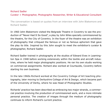#### Richard Sadler Curator + Photographer, Photographic Researcher, Writer & Educational Consultant

The conversation is based on quotes from an interview with John Blakemore and Richard Sadler.

In 1960 John Blakemore visited the Belgrade Theatre in Coventry to see the production of "Never Had It So Good", a play by John Wiles specially commissioned by the theatre, for the City of Coventry. In the foyer of the theatre was an exhibition of photography that critiqued the famous or not so famous aphorism that gave the play its title. Inspired by this John sought to meet the exhibition's curator & photographer, Richard Sadler.

Richard Sadler trained in photography at the studios of Edward Eves in Leamington Spa in 1948 before working extensively within the textile and aircraft industries, where he held major photographic positions. He ran his own studio working on commercial assignments. Richard also worked at Courtaulds, Coventry before starting his own business.

In the late 1960s Richard worked at the Coventry College of Art teaching photography, later moving to Derbyshire College of Art & Design, which became part of the University of Derby, where he was Head of Photographic Studies.

Richards' practice has been described as embracing two major strands, a commercial practice involving the production of commissioned work, and a more intimate personal practice. The creation of images through the medium of photography continues to inform Richard's current practice.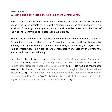#### Peter James Curator + Head of Photographs at Birmingham Central Library

Peter James is Head of Photographs at Birmingham Central Library in which capacity he is responsible for one of the national collections of photography. He is a Fellow of the Royal Photographic Society and, until last year, was Chairman of the National Committee of Photographic Collections.

He has curated exhibitions of historical and contemporary photography at the V&A, Birmingham Museum and Art Gallery, Birmingham Library, The Royal Photographic Society, The Royal Palace, Milan and Museum Africa, Johannesburg amongst others. He has written widely on historical and contemporary photography in Birmingham and is published internationally.

He is the author of books including Coming to Light: Birmingham's Photography Collections (1998); World City: Birmingham and its People Portrayed (2003), and Homes Fit for Heroes: Photographs by Bill Brandt (2004). He has also contributed essays to books including Making Connections: Birmingham Black International History (2002), Time & Motion: Photographs by Edweard Muybridge, Harold Edgerton and Jonathan Shaw (2003), Bullring: the Heart of Birmingham and Remaking Birmingham: Regeneration & Visual Culture (2004).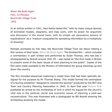When We Build Again Film, 23 Minutes Bournville Village Trust 1943

In an article written in 1941, Paul Rotha hailed film "with its many unique devices of animated models, diagrams, and map work, with its power for argument and discussion in the sound track, with its simple yet persuasive powers of explanations" as a "medium unequalled for spreading information by a multiplicity of showing".

Perhaps prompted by this idea, the Bournville Village Trust set about making a film version of their book, When We Build Again. The finished film – which included a commentary in part written and performed by Dylan Thomas, who had bee n photographed by Brandt around 1941 45 – was hailed as "the first made in Britain to present some of the basic issues of town planning to the public". Copies of the film were made available to the Ministry of Information for group showings up and down the country.

The film included sequences exploring a model town that had been specially designed for the purpose by Mr Thomas Sharp. This model formed the centrepiece of a touring exhibition "designed to interest the layman" produced by the BVT and Town and Country Planning Association in 1943. In April that year Picture Post published an article by the Archbishop of York in which he argued for the church's vital role in the political, social and economic issues of planning a post-war reconstruction. This was illustrated with a photograph by Bill Brandt showing the Archbishop studying the model.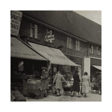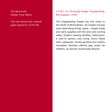The Bournville Village Trust Album

This list follows the original page sequence of the file

3.F.W.1-16: Municipal Estate, Kingstanding, Birmingham, 1939.

The Kingstanding Estate lies five miles to the North of Birmingham. Its modern houses were sited along broad, grass - verged roads and were supplied with hot and cold running water, modern cooking facilities, bathrooms, a well-lit parlour and living rooms fitted with cupboards. Ample gardens and nearby recreation facilities offered play areas for children, as did the countryside beyond.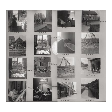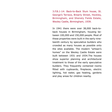3.F.B.1-14: Back-to-Back Slum house, St. George's Terrace, Brearly Street, Hockley, Birmingham, and Shenely Fields Estate, Weoley Castle, Birmingham, 1939.

In 1941 there were over 38,000 back-toback houses in Birmingham, housing between 100,000 and 150,000 people. Most of these properties were built in the early nineteenth century by speculative builders who crowded as many houses as possible onto the sites available. The modern "artisan's homes" on the Weoley Castle Estate were built between 1931 and 1934.The houses show superior planning and architectural treatment to those of the early speculative builders. They frequently contained rooms fitted with cupboards, fireplaces, electric lighting, hot water, gas heating, gardens and play areas for children nearby.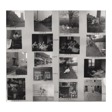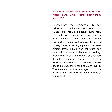3.F.S.1-14: Back-to Back Slum House, near Watery Lane, Small Heath, Birmingham, April 1939.

Situated near the Birmingham City Football ground, this back to-back usually contained three rooms; a kitchen-living room with a bedroom above, and over that an attic. The houses were built in a double row under a single roof, one row facing the street, the other facing a paved courtyard. Almost every house was therefore surrounded on three sides by similar dwellings preventing through ventilation or adequate daylight illumination. As early as 1840, a Select Committee had condemned back-to backs as unsuitable for people to live in. The calendar in the photographs of the kitchen gives the date of these images as being April 1943.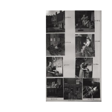$3.83.1.$  $38.4 - 7.$ 味味  $3.7.57$  $3.65.3$  $3.8.5.5$  $5.044$ **STAR**  $355.6$  $3.73.9.$  $3.7.83$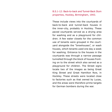B.S.1-12: Back-to-back and Tunnel-Back Slum properties, Hockley, Birmingham, 1943.

These include views into the courtyards of back-to-back and tunnel-back houses in the inner-city, probably in Hockley. These paved courtyards served as a drying area for washing and as a playground for children. A few water closets for the common use of tenants were grouped in the courtyard alongside the "brewhouses", or wash houses, which tenants used one day a week for washing. Entrance to the houses in the courtyards was through a narrow passage tunnelled through the block of houses fronting on to the street which also served as a playground for children. The Street signs locate two of the images as being Great King Street and Great Hamilton Row, in Hockley. These streets were located close to factories such as that owned by Lucas, and the areas were therefore prime targets for German bombers during the war.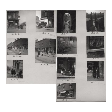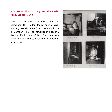3.F.L.S1-14: Slum Housing, near the Malden Road, London, 1943.

These old residential properties were located near the Malden Road, London, NW5, not a great distance from Brandt's home in Camden Hill. The newspaper headline, 'Wedge Made near Catania' relates to a Second World War campaign in Italy fought around July 1943.

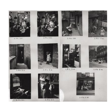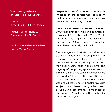'A fascinating collection of recently discovered work.'

Text by Richard Sadler + Peter James

HOMES FIT FOR HEROES Photographs by Bill Brandt 1939-1943

Hardback available to purchase ISBN 1-904587-07-0

Despite Bill Brandt's fame and considerable influence on the development of modern photography, the photographs in this book are a little known body of work.

The work was carried out between 1939 and 1943 when Brandt worked on a commercial assignment for the Bournville Village Trust. The prints and negatives have been with BVT for some 60 years and the work has never been previously published.

The photographs illustrate the living conditions in a range of housing types, for example, the back-to-back slums built in the nineteenth century through to modern municipal housing built in the 1930s. The majority of the photographs were taken in Birmingham but also some in London where he looked at 'old residential' properties near to his own home in Camden Hill. London was undoubtedly one of Brandt's favourite subjects and these photographs, taken around 1943, are amongst a much larger body of work Brandt shot in the capital city during the war years.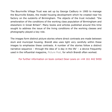The Bournville Village Trust was set up by George Cadbury in 1900 to manage the Bournville Estate, the model housing development which he created near his factory on the outskirts of Birmingham. The objects of the trust included: "the amelioration of the conditions of the working class population of Birmingham and elsewhere in Great Britain". Many books and articles published around this time sought to address the issue of the living conditions of the working classes and photography played a key role.

The images form distinct picture stories where direct contrasts are made between slum and municipal housing. Brandt also uses light very carefully within these images to emphasise these contrasts. A number of the stories follow a distinct narrative sequence – through the idea of 'a day in the life' – a device frequently used in the influential magazine, Picture Post, for which Brandt often worked.

#### For further information on book contact Dewi Lewis on +44 161 442 9450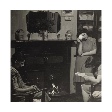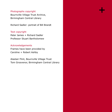#### Photographs copyright

Bournville Village Trust Archive, Birmingham Central Library

Richard Sadler: portrait of Bill Brandt

#### Text copyright

Peter James + Richard Sadler Professor Stuart Bartholomew

#### Acknowledgements

Frames have been provided by Caroline + Robert Ashby

Alastair Flint, Bournville Village Trust Tom Grosvenor, Birmingham Central Library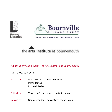

### the arts institute at bournemouth

Published by text + work, The Arts Institute at Bournemouth

ISBN 0-901196-06-1

- Written by Professor Stuart Bartholomew Peter James Richard Sadler
- Edited by Violet McClean / vmcclean@aib.ac.uk
- Design by Sonja Stender / design@jazznoons.co.uk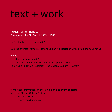## text + work

HOMES FIT FOR HEROES Photographs by Bill Brandt 1939 – 1943

12 September – 7 October 2005

Curated by Peter James & Richard Sadler in association with Birmingham Libraries

#### Event

Tuesday 4th October 2005 Curators Talk: Main Lecture Theatre, 5.00pm – 6.00pm Followed by a Drinks Reception: The Gallery, 6.00pm – 7.00pm

for further information on the exhibition and event contact:

Violet McClean Gallery Officer

- t 01202 363351
- e vmcclean@aib.ac.uk